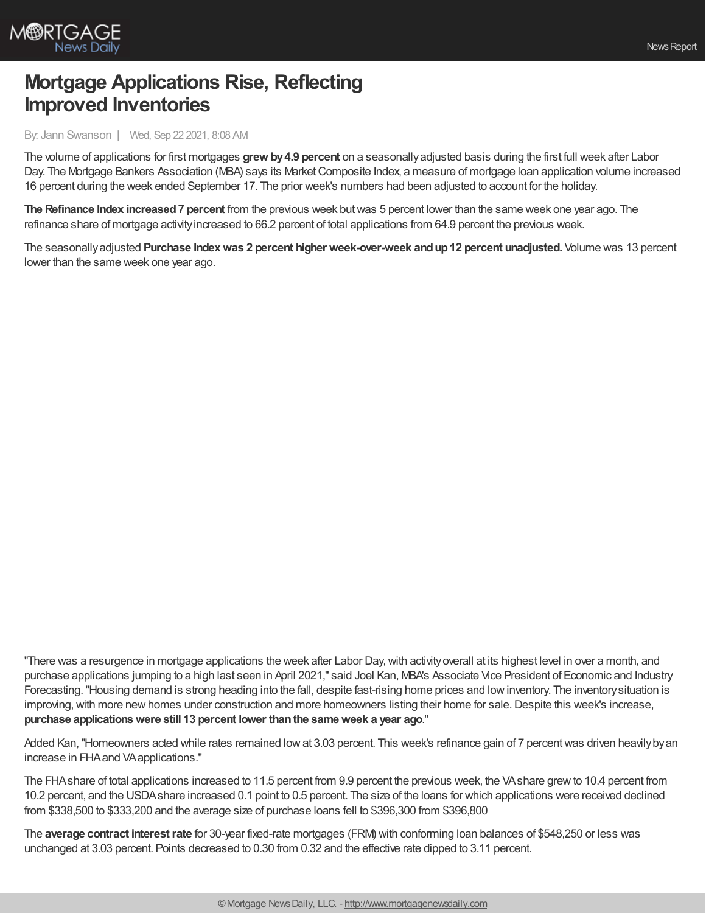

## **Mortgage Applications Rise, Reflecting Improved Inventories**

By: Jann Swanson | Wed, Sep 22 2021, 8:08 AM

The volume of applications for first mortgages **grew by4.9 percent** on a seasonallyadjusted basis during the first full week after Labor Day. The Mortgage Bankers Association (MBA) says its Market Composite Index, a measure of mortgage Ioan application volume increased 16 percent during the week ended September 17. The prior week's numbers had been adjusted to account for the holiday.

**The Refinance Index increased7 percent** from the previous week butwas 5 percent lower than the same week one year ago. The refinance share of mortgage activityincreased to 66.2 percent of total applications from 64.9 percent the previous week.

The seasonallyadjusted **Purchase Indexwas 2 percent higher week-over-week andup12 percent unadjusted.** Volume was 13 percent lower than the same week one year ago.

"There was a resurgence in mortgage applications the week after Labor Day, with activity overall at its highest level in over a month, and purchase applications jumping to a high last seen in April 2021," said Joel Kan, MBA's Associate Vice President of Economic and Industry Forecasting."Housing demand is strong heading into the fall, despite fast-rising home prices and lowinventory. The inventorysituation is improving, with more new homes under construction and more homeowners listing their home for sale. Despite this week's increase, **purchase applicationswere still 13 percent lower thanthe sameweek a year ago**."

Added Kan, "Homeowners acted while rates remained low at 3.03 percent. This week's refinance gain of 7 percent was driven heavily by an increase in FHAand VAapplications."

The FHAshare of total applications increased to 11.5 percent from 9.9 percent the previous week, the VAshare grewto 10.4 percent from 10.2 percent, and the USDAshare increased 0.1 point to 0.5 percent. The size of the loans for which applications were received declined from \$338,500 to \$333,200 and the average size of purchase loans fell to \$396,300 from \$396,800

The **average contract interestrate** for 30-year fixed-rate mortgages (FRM) with conforming loan balances of \$548,250 or less was unchanged at 3.03 percent. Points decreased to 0.30 from 0.32 and the effective rate dipped to 3.11 percent.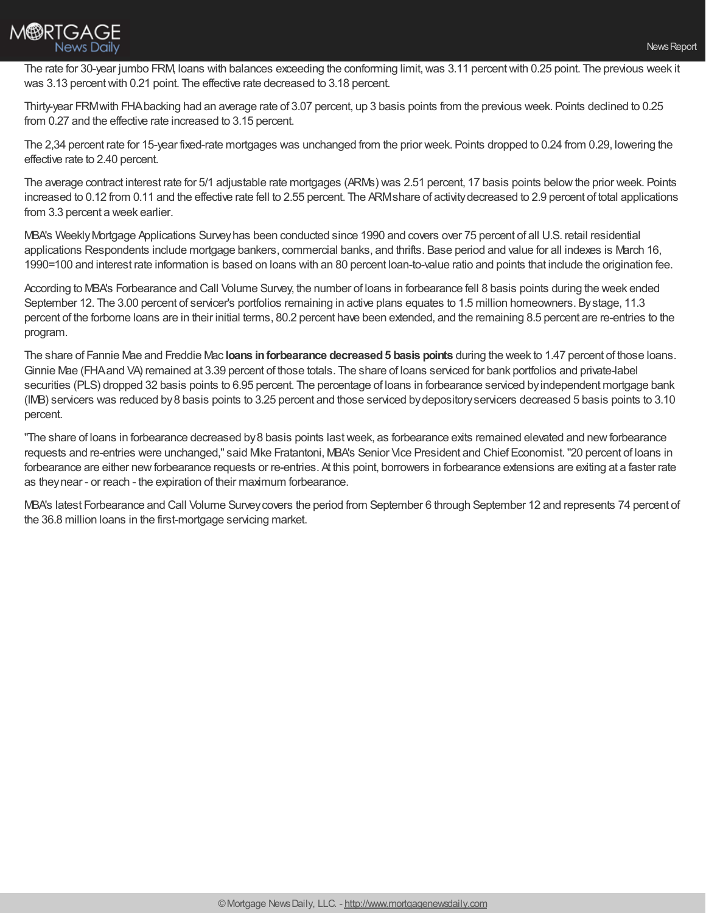

The rate for 30-year jumbo FRM, loans with balances exceeding the conforming limit, was 3.11 percent with 0.25 point. The previous week it was 3.13 percent with 0.21 point. The effective rate decreased to 3.18 percent.

Thirty-year FRMwith FHAbacking had an average rate of 3.07 percent, up 3 basis points from the previous week. Points declined to 0.25 from 0.27 and the effective rate increased to 3.15 percent.

The 2,34 percent rate for 15-year fixed-rate mortgages was unchanged from the prior week. Points dropped to 0.24 from 0.29, lowering the effective rate to 2.40 percent.

The average contract interest rate for 5/1 adjustable rate mortgages (ARMs) was 2.51 percent, 17 basis points belowthe prior week. Points increased to 0.12 from 0.11 and the effective rate fell to 2.55 percent. The ARMshare of activitydecreased to 2.9 percent of total applications from 3.3 percent a week earlier.

MBA's WeeklyMortgage Applications Surveyhas been conducted since 1990 and covers over 75 percent of all U.S. retail residential applications Respondents include mortgage bankers, commercial banks, and thrifts. Base period and value for all indexes is March 16, 1990=100 and interest rate information is based on loans with an 80 percent loan-to-value ratio and points that include the origination fee.

According to MBA's Forbearance and Call Volume Survey, the number of loans in forbearance fell 8 basis points during the week ended September 12. The 3.00 percent of servicer's portfolios remaining in active plans equates to 1.5 million homeowners. Bystage, 11.3 percent of the forborne loans are in their initial terms, 80.2 percent have been extended, and the remaining 8.5 percent are re-entries to the program.

The share of Fannie Mae and Freddie Mac **loans inforbearance decreased5 basis points** during the week to 1.47 percent of those loans. Ginnie Mae (FHAand VA) remained at 3.39 percent of those totals. The share of loans serviced for bank portfolios and private-label securities (PLS) dropped 32 basis points to 6.95 percent. The percentage of loans in forbearance serviced by independent mortgage bank (IMB) servicers was reduced by8 basis points to 3.25 percent and those serviced bydepositoryservicers decreased 5 basis points to 3.10 percent.

"The share of loans in forbearance decreased by 8 basis points last week, as forbearance exits remained elevated and new forbearance requests and re-entries were unchanged," said Mike Fratantoni, MBA's Senior Vice President and Chief Economist."20 percent of loans in forbearance are either new forbearance requests or re-entries. At this point, borrowers in forbearance extensions are exiting at a faster rate as theynear - or reach - the expiration of their maximum forbearance.

MBA's latest Forbearance and Call Volume Surveycovers the period from September 6 through September 12 and represents 74 percent of the 36.8 million loans in the first-mortgage servicing market.